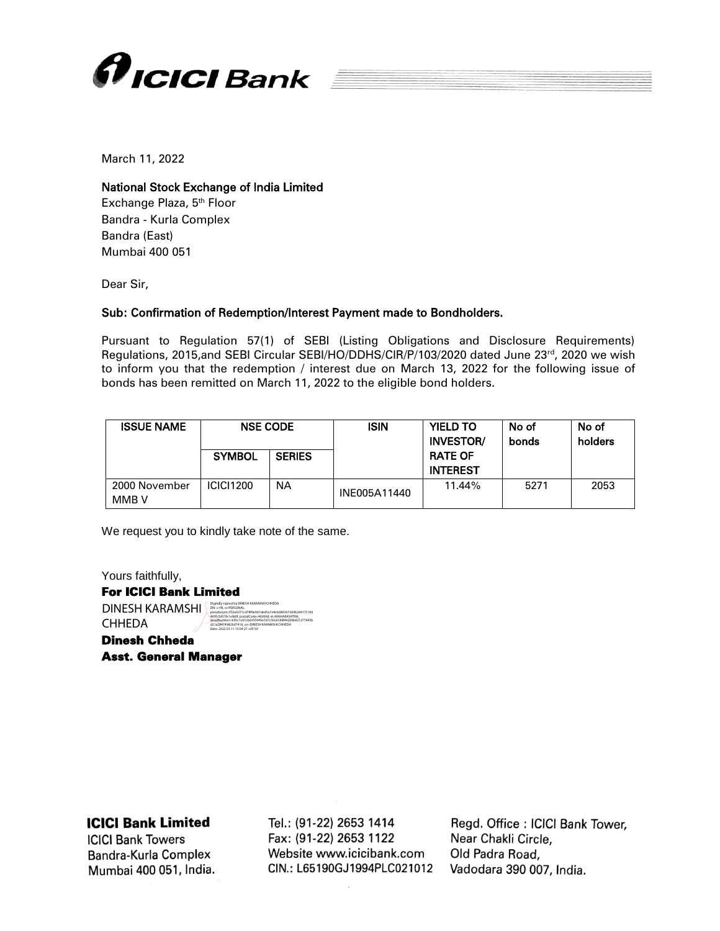

March 11, 2022

## National Stock Exchange of India Limited

Exchange Plaza, 5<sup>th</sup> Floor Bandra - Kurla Complex Bandra (East) Mumbai 400 051

Dear Sir,

## Sub: Confirmation of Redemption/Interest Payment made to Bondholders.

Pursuant to Regulation 57(1) of SEBI (Listing Obligations and Disclosure Requirements) Regulations, 2015,and SEBI Circular SEBI/HO/DDHS/CIR/P/103/2020 dated June 23rd, 2020 we wish to inform you that the redemption / interest due on March 13, 2022 for the following issue of bonds has been remitted on March 11, 2022 to the eligible bond holders.

| <b>ISSUE NAME</b>      | <b>NSE CODE</b>  |               | <b>ISIN</b>  | <b>YIELD TO</b><br><b>INVESTOR/</b> | No of<br>bonds | No of<br>holders |
|------------------------|------------------|---------------|--------------|-------------------------------------|----------------|------------------|
|                        | <b>SYMBOL</b>    | <b>SERIES</b> |              | <b>RATE OF</b><br><b>INTEREST</b>   |                |                  |
| 2000 November<br>MMB V | <b>ICICI1200</b> | NA            | INE005A11440 | 11.44%                              | 5271           | 2053             |

We request you to kindly take note of the same.

Yours faithfully, For ICICI Bank Limited DINESH KARAMSHI **CHHEDA** Dinesh Chheda Digitally signed by DINESH KARAMSHI CHHEDA DN: c=IN, o=PERSONAL, pseudonym=f32e6271cd78f9e9d1ded5e7e4cb0803673d3b264175166 492fc5d01fe1c680f, postalCode=400068, st=MAHARASHTRA, serialNumber=695c1c67cb0355049e7d7c50c6189f44200b821277445b d21a28474982bd7416, cn=DINESH KARAMSHI CHHEDA Date: 2022.03.11 13:04:27 +05'30'

Asst. General Manager

## **ICICI Bank Limited**

**ICICI Bank Towers** Bandra-Kurla Complex Mumbai 400 051, India.

Tel.: (91-22) 2653 1414 Fax: (91-22) 2653 1122 Website www.icicibank.com CIN.: L65190GJ1994PLC021012

Regd. Office: ICICI Bank Tower, Near Chakli Circle, Old Padra Road, Vadodara 390 007, India.